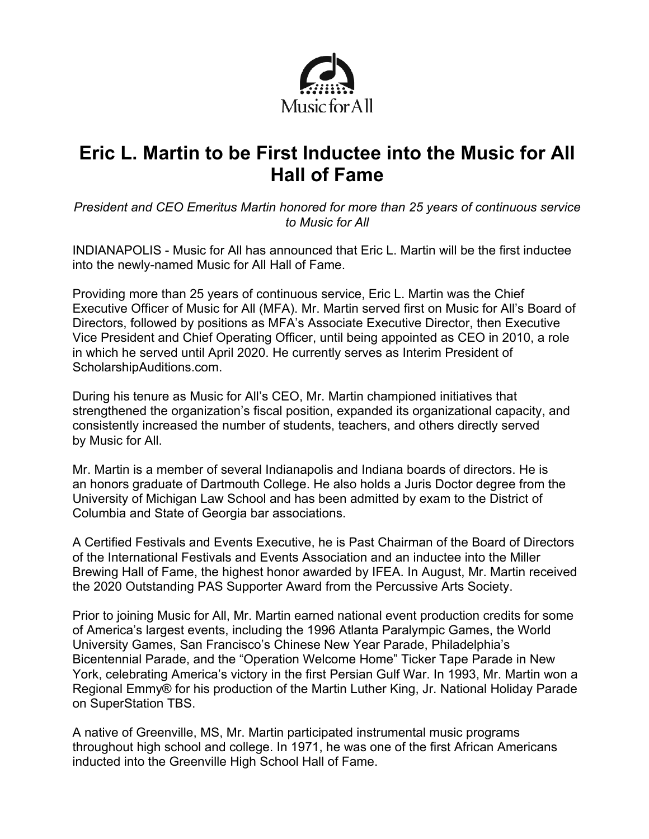

# **Eric L. Martin to be First Inductee into the Music for All Hall of Fame**

*President and CEO Emeritus Martin honored for more than 25 years of continuous service to Music for All*

INDIANAPOLIS - Music for All has announced that Eric L. Martin will be the first inductee into the newly-named Music for All Hall of Fame.

Providing more than 25 years of continuous service, Eric L. Martin was the Chief Executive Officer of Music for All (MFA). Mr. Martin served first on Music for All's Board of Directors, followed by positions as MFA's Associate Executive Director, then Executive Vice President and Chief Operating Officer, until being appointed as CEO in 2010, a role in which he served until April 2020. He currently serves as Interim President of ScholarshipAuditions.com.

During his tenure as Music for All's CEO, Mr. Martin championed initiatives that strengthened the organization's fiscal position, expanded its organizational capacity, and consistently increased the number of students, teachers, and others directly served by Music for All.

Mr. Martin is a member of several Indianapolis and Indiana boards of directors. He is an honors graduate of Dartmouth College. He also holds a Juris Doctor degree from the University of Michigan Law School and has been admitted by exam to the District of Columbia and State of Georgia bar associations.

A Certified Festivals and Events Executive, he is Past Chairman of the Board of Directors of the International Festivals and Events Association and an inductee into the Miller Brewing Hall of Fame, the highest honor awarded by IFEA. In August, Mr. Martin received the 2020 Outstanding PAS Supporter Award from the Percussive Arts Society.

Prior to joining Music for All, Mr. Martin earned national event production credits for some of America's largest events, including the 1996 Atlanta Paralympic Games, the World University Games, San Francisco's Chinese New Year Parade, Philadelphia's Bicentennial Parade, and the "Operation Welcome Home" Ticker Tape Parade in New York, celebrating America's victory in the first Persian Gulf War. In 1993, Mr. Martin won a Regional Emmy® for his production of the Martin Luther King, Jr. National Holiday Parade on SuperStation TBS.

A native of Greenville, MS, Mr. Martin participated instrumental music programs throughout high school and college. In 1971, he was one of the first African Americans inducted into the Greenville High School Hall of Fame.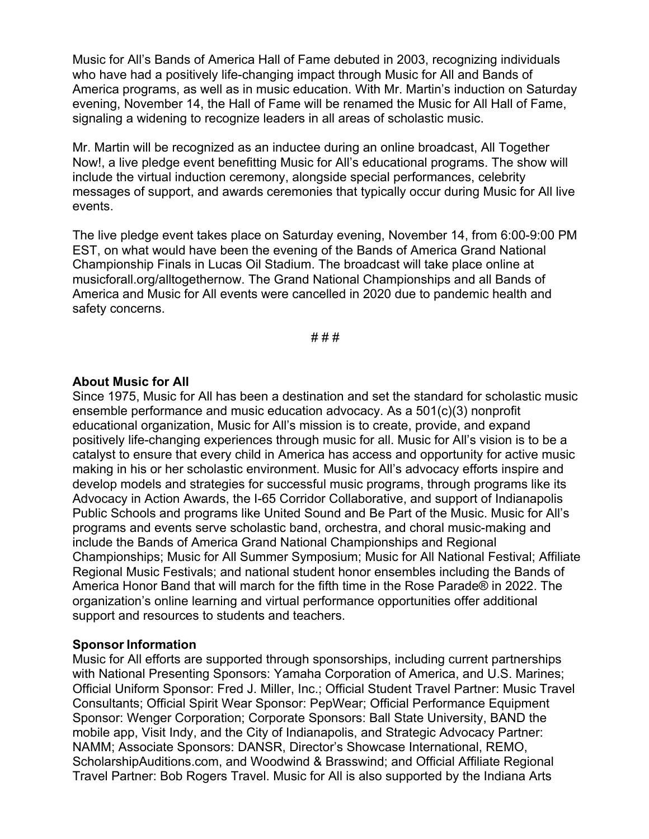Music for All's Bands of America Hall of Fame debuted in 2003, recognizing individuals who have had a positively life-changing impact through Music for All and Bands of America programs, as well as in music education. With Mr. Martin's induction on Saturday evening, November 14, the Hall of Fame will be renamed the Music for All Hall of Fame, signaling a widening to recognize leaders in all areas of scholastic music.

Mr. Martin will be recognized as an inductee during an online broadcast, All Together Now!, a live pledge event benefitting Music for All's educational programs. The show will include the virtual induction ceremony, alongside special performances, celebrity messages of support, and awards ceremonies that typically occur during Music for All live events.

The live pledge event takes place on Saturday evening, November 14, from 6:00-9:00 PM EST, on what would have been the evening of the Bands of America Grand National Championship Finals in Lucas Oil Stadium. The broadcast will take place online at musicforall.org/alltogethernow. The Grand National Championships and all Bands of America and Music for All events were cancelled in 2020 due to pandemic health and safety concerns.

# # #

#### **About Music for All**

Since 1975, Music for All has been a destination and set the standard for scholastic music ensemble performance and music education advocacy. As a 501(c)(3) nonprofit educational organization, Music for All's mission is to create, provide, and expand positively life-changing experiences through music for all. Music for All's vision is to be a catalyst to ensure that every child in America has access and opportunity for active music making in his or her scholastic environment. Music for All's advocacy efforts inspire and develop models and strategies for successful music programs, through programs like its Advocacy in Action Awards, the I-65 Corridor Collaborative, and support of Indianapolis Public Schools and programs like United Sound and Be Part of the Music. Music for All's programs and events serve scholastic band, orchestra, and choral music-making and include the Bands of America Grand National Championships and Regional Championships; Music for All Summer Symposium; Music for All National Festival; Affiliate Regional Music Festivals; and national student honor ensembles including the Bands of America Honor Band that will march for the fifth time in the Rose Parade® in 2022. The organization's online learning and virtual performance opportunities offer additional support and resources to students and teachers.

#### **Sponsor Information**

Music for All efforts are supported through sponsorships, including current partnerships with National Presenting Sponsors: Yamaha Corporation of America, and U.S. Marines; Official Uniform Sponsor: Fred J. Miller, Inc.; Official Student Travel Partner: Music Travel Consultants; Official Spirit Wear Sponsor: PepWear; Official Performance Equipment Sponsor: Wenger Corporation; Corporate Sponsors: Ball State University, BAND the mobile app, Visit Indy, and the City of Indianapolis, and Strategic Advocacy Partner: NAMM; Associate Sponsors: DANSR, Director's Showcase International, REMO, ScholarshipAuditions.com, and Woodwind & Brasswind; and Official Affiliate Regional Travel Partner: Bob Rogers Travel. Music for All is also supported by the Indiana Arts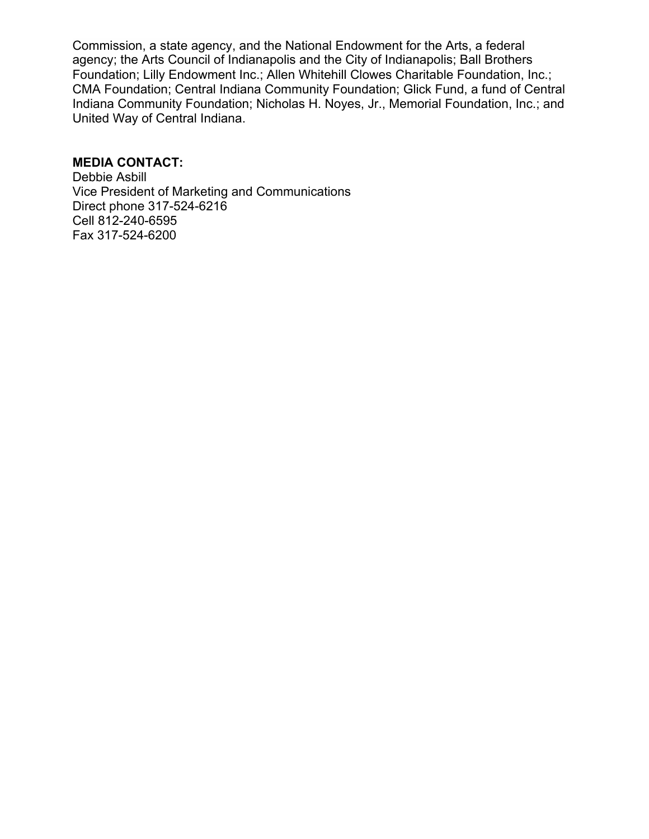Commission, a state agency, and the National Endowment for the Arts, a federal agency; the Arts Council of Indianapolis and the City of Indianapolis; Ball Brothers Foundation; Lilly Endowment Inc.; Allen Whitehill Clowes Charitable Foundation, Inc.; CMA Foundation; Central Indiana Community Foundation; Glick Fund, a fund of Central Indiana Community Foundation; Nicholas H. Noyes, Jr., Memorial Foundation, Inc.; and United Way of Central Indiana.

# **MEDIA CONTACT:**

Debbie Asbill Vice President of Marketing and Communications Direct phone 317-524-6216 Cell 812-240-6595 Fax 317-524-6200